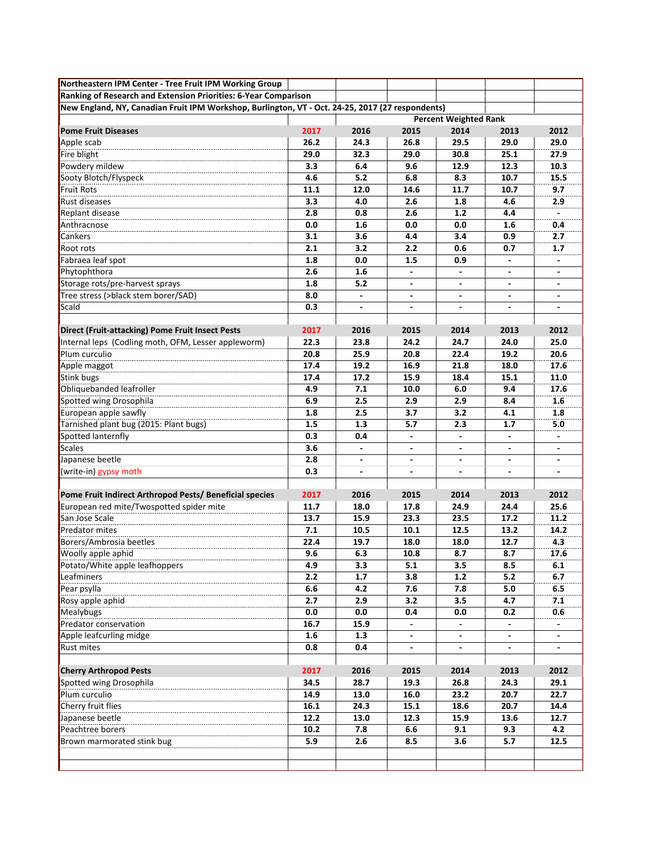| Northeastern IPM Center - Tree Fruit IPM Working Group                                           |      |                          |                          |                              |                          |                          |
|--------------------------------------------------------------------------------------------------|------|--------------------------|--------------------------|------------------------------|--------------------------|--------------------------|
| Ranking of Research and Extension Priorities: 6-Year Comparison                                  |      |                          |                          |                              |                          |                          |
| New England, NY, Canadian Fruit IPM Workshop, Burlington, VT - Oct. 24-25, 2017 (27 respondents) |      |                          |                          |                              |                          |                          |
|                                                                                                  |      |                          |                          | <b>Percent Weighted Rank</b> |                          |                          |
| <b>Pome Fruit Diseases</b>                                                                       | 2017 | 2016                     | 2015                     | 2014                         | 2013                     | 2012                     |
| Apple scab                                                                                       | 26.2 | 24.3                     | 26.8                     | 29.5                         | 29.0                     | 29.0                     |
| Fire blight                                                                                      | 29.0 | 32.3                     | 29.0                     | 30.8                         | 25.1                     | 27.9                     |
| Powdery mildew                                                                                   | 3.3  | 6.4                      | 9.6                      | 12.9                         | 12.3                     | 10.3                     |
| Sooty Blotch/Flyspeck                                                                            | 4.6  | 5.2                      | 6.8                      | 8.3                          | 10.7                     | 15.5                     |
| <b>Fruit Rots</b>                                                                                | 11.1 | 12.0                     | 14.6                     | 11.7                         | 10.7                     | 9.7                      |
| Rust diseases                                                                                    | 3.3  | 4.0                      | 2.6                      | 1.8                          | 4.6                      | 2.9                      |
| Replant disease                                                                                  | 2.8  | 0.8                      | 2.6                      | $1.2$                        | 4.4                      |                          |
| Anthracnose                                                                                      | 0.0  | 1.6                      | 0.0                      | 0.0                          | 1.6                      | 0.4                      |
| Cankers                                                                                          | 3.1  | 3.6                      | 4.4                      | 3.4                          | 0.9                      | 2.7                      |
| Root rots                                                                                        | 2.1  | 3.2                      | 2.2                      | 0.6                          | 0.7                      | 1.7                      |
| Fabraea leaf spot                                                                                | 1.8  | 0.0                      | 1.5                      | 0.9                          | $\overline{\phantom{a}}$ |                          |
| Phytophthora                                                                                     | 2.6  | 1.6                      | $\overline{\phantom{a}}$ | $\blacksquare$               | ٠                        |                          |
| Storage rots/pre-harvest sprays                                                                  | 1.8  | 5.2                      |                          |                              |                          |                          |
| Tree stress (>black stem borer/SAD)                                                              | 8.0  |                          |                          |                              |                          |                          |
| Scald                                                                                            | 0.3  | $\blacksquare$           | $\overline{\phantom{a}}$ | $\overline{\phantom{a}}$     | $\overline{\phantom{a}}$ | $\overline{\phantom{a}}$ |
|                                                                                                  |      |                          |                          |                              |                          |                          |
| <b>Direct (Fruit-attacking) Pome Fruit Insect Pests</b>                                          | 2017 | 2016                     | 2015                     | 2014                         | 2013                     | 2012                     |
| Internal leps (Codling moth, OFM, Lesser appleworm)                                              | 22.3 | 23.8                     | 24.2                     | 24.7                         | 24.0                     | 25.0                     |
| Plum curculio                                                                                    | 20.8 | 25.9                     | 20.8                     | 22.4                         | 19.2                     | 20.6                     |
| Apple maggot                                                                                     | 17.4 | 19.2                     | 16.9                     | 21.8                         | 18.0                     | 17.6                     |
| Stink bugs                                                                                       | 17.4 | 17.2                     | 15.9                     | 18.4                         | 15.1                     | 11.0                     |
| Obliquebanded leafroller                                                                         | 4.9  | 7.1                      | 10.0                     | 6.0                          | 9.4                      | 17.6                     |
| Spotted wing Drosophila                                                                          | 6.9  | 2.5                      | 2.9                      | 2.9                          | 8.4                      | 1.6                      |
| European apple sawfly                                                                            | 1.8  | 2.5                      | 3.7                      | 3.2                          | 4.1                      | 1.8                      |
| Tarnished plant bug (2015: Plant bugs)                                                           | 1.5  | 1.3                      | 5.7                      | 2.3                          | 1.7                      | 5.0                      |
| Spotted lanternfly                                                                               | 0.3  | 0.4                      | ٠                        | $\frac{1}{2}$                | $\overline{\phantom{a}}$ |                          |
| <b>Scales</b>                                                                                    | 3.6  |                          |                          | -                            |                          |                          |
| Japanese beetle                                                                                  | 2.8  | $\blacksquare$           |                          |                              |                          |                          |
| (write-in) gypsy moth                                                                            | 0.3  | $\overline{\phantom{a}}$ | ٠                        | $\overline{\phantom{a}}$     | $\overline{\phantom{a}}$ | $\overline{\phantom{a}}$ |
|                                                                                                  |      |                          |                          |                              |                          |                          |
| Pome Fruit Indirect Arthropod Pests/ Beneficial species                                          | 2017 | 2016                     | 2015                     | 2014                         | 2013                     | 2012                     |
| European red mite/Twospotted spider mite                                                         | 11.7 | 18.0                     | 17.8                     | 24.9                         | 24.4                     | 25.6                     |
| San Jose Scale                                                                                   | 13.7 | 15.9                     | 23.3                     | 23.5                         | 17.2                     | 11.2                     |
| <b>Predator mites</b>                                                                            | 7.1  | 10.5                     | 10.1                     | 12.5                         | 13.2                     | 14.2                     |
| Borers/Ambrosia beetles                                                                          | 22.4 | 19.7                     | 18.0                     | 18.0                         | 12.7                     | 4.3                      |
| Woolly apple aphid                                                                               | 9.6  | 6.3                      | 10.8                     | 8.7                          | 8.7                      | 17.6                     |
| Potato/White apple leafhoppers                                                                   | 4.9  | 3.3                      | 5.1                      | 3.5                          | 8.5                      | 6.1                      |
| Leafminers                                                                                       | 2.2  | 1.7                      | 3.8                      | 1.2                          | 5.2                      | 6.7                      |
| Pear psylla                                                                                      | 6.6  | 4.2                      | 7.6                      | 7.8                          | 5.0                      | 6.5                      |
| Rosy apple aphid                                                                                 | 2.7  | 2.9                      | 3.2                      | 3.5                          | 4.7                      | 7.1                      |
| Mealybugs                                                                                        | 0.0  | 0.0                      | 0.4                      | 0.0                          | 0.2                      | 0.6                      |
| Predator conservation                                                                            | 16.7 | 15.9                     | $\overline{\phantom{a}}$ | $\blacksquare$               | $\overline{\phantom{a}}$ |                          |
| Apple leafcurling midge                                                                          | 1.6  | 1.3                      | $\overline{\phantom{a}}$ | $\overline{\phantom{a}}$     | $\overline{\phantom{a}}$ | $\overline{\phantom{a}}$ |
| <b>Rust mites</b>                                                                                | 0.8  | 0.4                      | $\overline{\phantom{a}}$ |                              | $\overline{\phantom{a}}$ |                          |
|                                                                                                  |      |                          |                          |                              |                          |                          |
| <b>Cherry Arthropod Pests</b>                                                                    | 2017 | 2016                     | 2015                     | 2014                         | 2013                     | 2012                     |
| Spotted wing Drosophila                                                                          | 34.5 | 28.7                     | 19.3                     | 26.8                         | 24.3                     | 29.1                     |
| Plum curculio                                                                                    | 14.9 | 13.0                     | 16.0                     | 23.2                         | 20.7                     | 22.7                     |
| Cherry fruit flies                                                                               | 16.1 | 24.3                     | 15.1                     | 18.6                         | 20.7                     | 14.4                     |
| Japanese beetle                                                                                  | 12.2 | 13.0                     | 12.3                     | 15.9                         | 13.6                     | 12.7                     |
| Peachtree borers                                                                                 | 10.2 | 7.8                      | 6.6                      | 9.1                          | 9.3                      | 4.2                      |
| Brown marmorated stink bug                                                                       | 5.9  | 2.6                      | 8.5                      | 3.6                          | 5.7                      | 12.5                     |
|                                                                                                  |      |                          |                          |                              |                          |                          |
|                                                                                                  |      |                          |                          |                              |                          |                          |
|                                                                                                  |      |                          |                          |                              |                          |                          |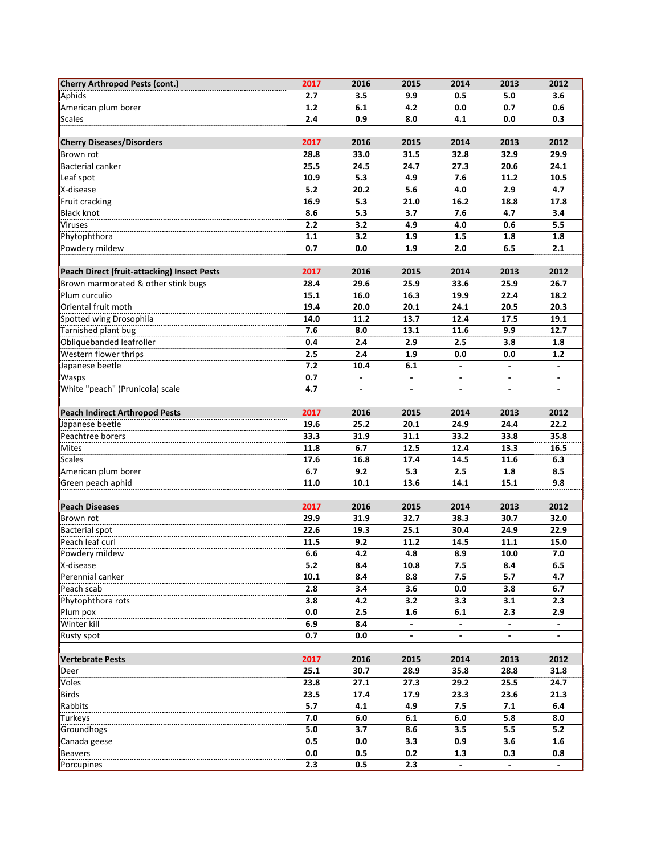| <b>Cherry Arthropod Pests (cont.)</b>       | 2017  | 2016                         | 2015 | 2014                     | 2013                     | 2012                     |
|---------------------------------------------|-------|------------------------------|------|--------------------------|--------------------------|--------------------------|
| Aphids                                      | 2.7   | 3.5                          | 9.9  | 0.5                      | 5.0                      | 3.6                      |
| American plum borer                         | $1.2$ | 6.1                          | 4.2  | 0.0                      | 0.7                      | 0.6                      |
| Scales                                      | 2.4   | 0.9                          | 8.0  | 4.1                      | 0.0                      | 0.3                      |
|                                             |       |                              |      |                          |                          |                          |
| <b>Cherry Diseases/Disorders</b>            | 2017  | 2016                         | 2015 | 2014                     | 2013                     | 2012                     |
| Brown rot                                   | 28.8  | 33.0                         | 31.5 | 32.8                     | 32.9                     | 29.9                     |
| <b>Bacterial canker</b>                     | 25.5  | 24.5                         | 24.7 | 27.3                     | 20.6                     | 24.1                     |
| Leaf spot                                   | 10.9  | 5.3                          | 4.9  | 7.6                      | 11.2                     | 10.5                     |
| X-disease                                   | 5.2   | 20.2                         | 5.6  | 4.0                      | 2.9                      | 4.7                      |
| Fruit cracking                              | 16.9  | 5.3                          | 21.0 | 16.2                     | 18.8                     | 17.8                     |
| <b>Black knot</b>                           | 8.6   | 5.3                          | 3.7  | 7.6                      | 4.7                      | 3.4                      |
| <b>Viruses</b>                              | 2.2   | 3.2                          | 4.9  | 4.0                      | 0.6                      | 5.5                      |
| Phytophthora                                | 1.1   | 3.2                          | 1.9  | 1.5                      | 1.8                      | 1.8                      |
| Powdery mildew                              | 0.7   | 0.0                          | 1.9  | 2.0                      | 6.5                      | 2.1                      |
|                                             |       |                              |      |                          |                          |                          |
| Peach Direct (fruit-attacking) Insect Pests | 2017  | 2016                         | 2015 | 2014                     | 2013                     | 2012                     |
| Brown marmorated & other stink bugs         | 28.4  | 29.6                         | 25.9 | 33.6                     | 25.9                     | 26.7                     |
| Plum curculio                               | 15.1  | 16.0                         | 16.3 | 19.9                     | 22.4                     | 18.2                     |
| Oriental fruit moth                         | 19.4  | 20.0                         | 20.1 | 24.1                     | 20.5                     | 20.3                     |
| Spotted wing Drosophila                     | 14.0  | 11.2                         | 13.7 | 12.4                     | 17.5                     | 19.1                     |
| Tarnished plant bug                         | 7.6   | 8.0                          | 13.1 | 11.6                     | 9.9                      | 12.7                     |
| Obliquebanded leafroller                    | 0.4   | 2.4                          | 2.9  | 2.5                      | 3.8                      | 1.8                      |
| Western flower thrips                       | 2.5   | 2.4                          | 1.9  | 0.0                      | 0.0                      | $1.2$                    |
| Japanese beetle                             | 7.2   | 10.4                         | 6.1  | $\blacksquare$           | $\blacksquare$           | $\overline{\phantom{a}}$ |
| <b>Wasps</b>                                | 0.7   |                              |      |                          |                          |                          |
| White "peach" (Prunicola) scale             | 4.7   | $\qquad \qquad \blacksquare$ |      | ٠                        |                          |                          |
|                                             |       |                              |      |                          |                          |                          |
| <b>Peach Indirect Arthropod Pests</b>       | 2017  | 2016                         | 2015 | 2014                     | 2013                     | 2012                     |
| Japanese beetle                             | 19.6  | 25.2                         | 20.1 | 24.9                     | 24.4                     | 22.2                     |
| Peachtree borers                            | 33.3  | 31.9                         | 31.1 | 33.2                     | 33.8                     | 35.8                     |
|                                             | 11.8  | 6.7                          | 12.5 | 12.4                     | 13.3                     | 16.5                     |
| Mites                                       | 17.6  | 16.8                         |      |                          |                          |                          |
| <b>Scales</b>                               |       |                              | 17.4 | 14.5                     | 11.6                     | 6.3                      |
| American plum borer                         | 6.7   | 9.2                          | 5.3  | 2.5                      | 1.8                      | 8.5                      |
| Green peach aphid                           | 11.0  | 10.1                         | 13.6 | 14.1                     | 15.1                     | 9.8                      |
|                                             |       |                              |      |                          |                          |                          |
| <b>Peach Diseases</b>                       | 2017  | 2016                         | 2015 | 2014                     | 2013                     | 2012                     |
| Brown rot                                   | 29.9  | 31.9                         | 32.7 | 38.3                     | 30.7                     | 32.0                     |
| <b>Bacterial spot</b>                       | 22.6  | 19.3                         | 25.1 | 30.4                     | 24.9                     | 22.9                     |
| Peach leaf curl                             | 11.5  | 9.2                          | 11.2 | 14.5                     | 11.1                     | 15.0                     |
| Powdery mildew                              | 6.6   | 4.2                          | 4.8  | 8.9                      | 10.0                     | 7.0                      |
| X-disease                                   | 5.2   | 8.4                          | 10.8 | 7.5                      | 8.4                      | 6.5                      |
| Perennial canker                            | 10.1  | 8.4                          | 8.8  | 7.5                      | 5.7                      | 4.7                      |
| Peach scab                                  | 2.8   | 3.4                          | 3.6  | 0.0                      | 3.8                      | 6.7                      |
| Phytophthora rots                           | 3.8   | 4.2                          | 3.2  | 3.3                      | 3.1                      | 2.3                      |
| Plum pox                                    | 0.0   | 2.5                          | 1.6  | 6.1                      | 2.3                      | 2.9                      |
| Winter kill                                 | 6.9   | 8.4                          |      | $\blacksquare$           | $\overline{\phantom{a}}$ |                          |
| <b>Rusty spot</b>                           | 0.7   | 0.0                          |      | $\overline{\phantom{a}}$ |                          |                          |
|                                             |       |                              |      |                          |                          |                          |
| <b>Vertebrate Pests</b>                     | 2017  | 2016                         | 2015 | 2014                     | 2013                     | 2012                     |
| Deer                                        | 25.1  | 30.7                         | 28.9 | 35.8                     | 28.8                     | 31.8                     |
| Voles                                       | 23.8  | 27.1                         | 27.3 | 29.2                     | 25.5                     | 24.7                     |
| <b>Birds</b>                                | 23.5  | 17.4                         | 17.9 | 23.3                     | 23.6                     | 21.3                     |
| Rabbits                                     | 5.7   | 4.1                          | 4.9  | 7.5                      | 7.1                      | 6.4                      |
| <b>Turkeys</b>                              | 7.0   | 6.0                          | 6.1  | 6.0                      | 5.8                      | 8.0                      |
| Groundhogs                                  | 5.0   | 3.7                          | 8.6  | 3.5                      | 5.5                      | 5.2                      |
| Canada geese                                | 0.5   | 0.0                          | 3.3  | 0.9                      | 3.6                      | 1.6                      |
| <b>Beavers</b>                              | 0.0   | 0.5                          | 0.2  | 1.3                      | 0.3                      | 0.8                      |
| Porcupines                                  | 2.3   | 0.5                          | 2.3  |                          |                          |                          |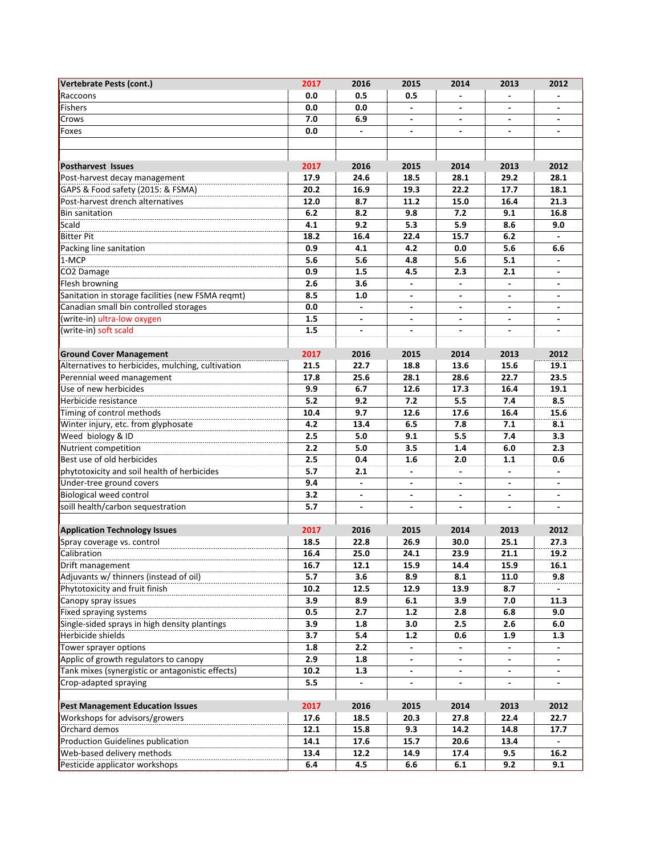| Vertebrate Pests (cont.)                          | 2017 | 2016                     | 2015                     | 2014                     | 2013                     | 2012                     |
|---------------------------------------------------|------|--------------------------|--------------------------|--------------------------|--------------------------|--------------------------|
| Raccoons                                          | 0.0  | 0.5                      | 0.5                      |                          |                          |                          |
| Fishers                                           | 0.0  | 0.0                      | $\overline{a}$           |                          |                          |                          |
| Crows                                             | 7.0  | 6.9                      | $\overline{\phantom{a}}$ | $\blacksquare$           | $\overline{\phantom{a}}$ | $\overline{\phantom{0}}$ |
| Foxes                                             | 0.0  |                          | $\overline{\phantom{a}}$ | ٠                        | $\overline{\phantom{a}}$ |                          |
|                                                   |      |                          |                          |                          |                          |                          |
|                                                   |      |                          |                          |                          |                          |                          |
| <b>Postharvest Issues</b>                         | 2017 | 2016                     | 2015                     | 2014                     | 2013                     | 2012                     |
| Post-harvest decay management                     | 17.9 | 24.6                     | 18.5                     | 28.1                     | 29.2                     | 28.1                     |
| GAPS & Food safety (2015: & FSMA)                 | 20.2 | 16.9                     | 19.3                     | 22.2                     | 17.7                     | 18.1                     |
| Post-harvest drench alternatives                  | 12.0 | 8.7                      | 11.2                     | 15.0                     | 16.4                     | 21.3                     |
| <b>Bin sanitation</b>                             | 6.2  | 8.2                      | 9.8                      | 7.2                      | 9.1                      | 16.8                     |
| Scald                                             | 4.1  | 9.2                      | 5.3                      | 5.9                      | 8.6                      | 9.0                      |
| <b>Bitter Pit</b>                                 | 18.2 | 16.4                     | 22.4                     | 15.7                     | 6.2                      | $\overline{a}$           |
| Packing line sanitation                           | 0.9  | 4.1                      | 4.2                      | 0.0                      | 5.6                      | 6.6                      |
| 1-MCP                                             | 5.6  | 5.6                      | 4.8                      | 5.6                      | 5.1                      |                          |
| CO <sub>2</sub> Damage                            | 0.9  | 1.5                      | 4.5                      | 2.3                      | 2.1                      | ٠                        |
| Flesh browning                                    | 2.6  | 3.6                      |                          |                          |                          |                          |
| Sanitation in storage facilities (new FSMA reqmt) | 8.5  | 1.0                      |                          |                          |                          |                          |
| Canadian small bin controlled storages            | 0.0  | $\overline{\phantom{a}}$ | $\blacksquare$           | $\blacksquare$           | $\blacksquare$           | $\overline{\phantom{0}}$ |
| (write-in) ultra-low oxygen                       | 1.5  | $\overline{\phantom{a}}$ | ۰                        | ۰                        | $\overline{\phantom{a}}$ |                          |
| (write-in) soft scald                             | 1.5  |                          |                          |                          |                          |                          |
|                                                   |      |                          |                          |                          |                          |                          |
| <b>Ground Cover Management</b>                    | 2017 | 2016                     | 2015                     | 2014                     | 2013                     | 2012                     |
| Alternatives to herbicides, mulching, cultivation | 21.5 | 22.7                     | 18.8                     | 13.6                     | 15.6                     | 19.1                     |
| Perennial weed management                         | 17.8 | 25.6                     | 28.1                     | 28.6                     | 22.7                     | 23.5                     |
| Use of new herbicides                             | 9.9  | 6.7                      | 12.6                     | 17.3                     | 16.4                     | 19.1                     |
| Herbicide resistance                              | 5.2  | 9.2                      | 7.2                      | 5.5                      | 7.4                      | 8.5                      |
| Timing of control methods                         | 10.4 | 9.7                      | 12.6                     | 17.6                     | 16.4                     | 15.6                     |
| Winter injury, etc. from glyphosate               | 4.2  | 13.4                     | 6.5                      | 7.8                      | 7.1                      | 8.1                      |
| Weed biology & ID                                 | 2.5  | 5.0                      | 9.1                      | 5.5                      | 7.4                      | 3.3                      |
| Nutrient competition                              | 2.2  | 5.0                      | 3.5                      | 1.4                      | 6.0                      | 2.3                      |
| Best use of old herbicides                        | 2.5  | 0.4                      | 1.6                      | 2.0                      | 1.1                      | 0.6                      |
| phytotoxicity and soil health of herbicides       | 5.7  | 2.1                      |                          |                          |                          |                          |
| Under-tree ground covers                          | 9.4  |                          |                          |                          |                          |                          |
| Biological weed control                           | 3.2  | $\blacksquare$           | $\blacksquare$           | $\blacksquare$           | ٠                        | ٠                        |
| soill health/carbon sequestration                 | 5.7  | $\blacksquare$           | $\overline{\phantom{a}}$ | $\overline{\phantom{a}}$ | $\overline{\phantom{a}}$ |                          |
|                                                   |      |                          |                          |                          |                          |                          |
| <b>Application Technology Issues</b>              | 2017 | 2016                     | 2015                     | 2014                     | 2013                     | 2012                     |
| Spray coverage vs. control                        | 18.5 | 22.8                     | 26.9                     | 30.0                     | 25.1                     | 27.3                     |
| Calibration                                       | 16.4 | 25.0                     | 24.1                     | 23.9                     | 21.1                     | 19.2                     |
| Drift management                                  | 16.7 | 12.1                     | 15.9                     | 14.4                     | 15.9                     | 16.1                     |
| Adjuvants w/ thinners (instead of oil)            | 5.7  | 3.6                      | 8.9                      | 8.1                      | 11.0                     | 9.8                      |
| Phytotoxicity and fruit finish                    | 10.2 | 12.5                     | 12.9                     | 13.9                     | 8.7                      |                          |
| Canopy spray issues                               | 3.9  | 8.9                      | 6.1                      | 3.9                      | 7.0                      | 11.3                     |
| Fixed spraying systems                            | 0.5  | 2.7                      | $1.2$                    | 2.8                      | 6.8                      | 9.0                      |
| Single-sided sprays in high density plantings     | 3.9  | 1.8                      | 3.0                      | 2.5                      | 2.6                      | $6.0\,$                  |
| Herbicide shields                                 | 3.7  | 5.4                      | 1.2                      | 0.6                      | 1.9                      | 1.3                      |
| Tower sprayer options                             | 1.8  | 2.2                      |                          |                          |                          |                          |
| Applic of growth regulators to canopy             | 2.9  | 1.8                      |                          |                          |                          |                          |
| Tank mixes (synergistic or antagonistic effects)  | 10.2 | 1.3                      |                          |                          |                          |                          |
| Crop-adapted spraying                             | 5.5  | $\overline{a}$           | $\overline{\phantom{a}}$ | $\frac{1}{2}$            | $\overline{\phantom{a}}$ | $\overline{a}$           |
|                                                   |      |                          |                          |                          |                          |                          |
| <b>Pest Management Education Issues</b>           | 2017 | 2016                     | 2015                     | 2014                     | 2013                     | 2012                     |
| Workshops for advisors/growers                    | 17.6 | 18.5                     | 20.3                     | 27.8                     | 22.4                     | 22.7                     |
| Orchard demos                                     | 12.1 | 15.8                     | 9.3                      | 14.2                     | 14.8                     | 17.7                     |
| Production Guidelines publication                 | 14.1 | 17.6                     | 15.7                     | 20.6                     | 13.4                     | ÷.                       |
| Web-based delivery methods                        | 13.4 | 12.2                     | 14.9                     | 17.4                     | 9.5                      | 16.2                     |
| Pesticide applicator workshops                    | 6.4  | 4.5                      | 6.6                      | 6.1                      | 9.2                      | 9.1                      |
|                                                   |      |                          |                          |                          |                          |                          |